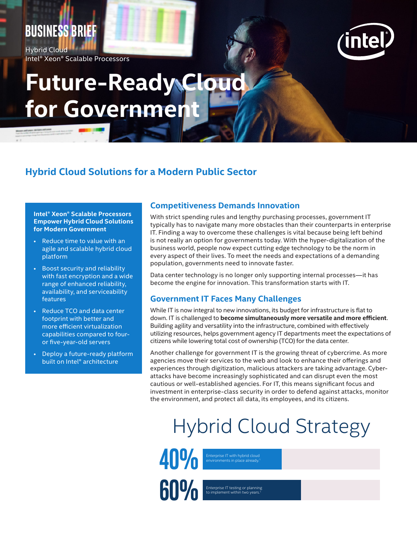### **BUSINESS brief**

Hybrid Cloud Intel® Xeon® Scalable Processors



# **Future-Ready Cloud for Government**

#### **Hybrid Cloud Solutions for a Modern Public Sector**

**Intel® Xeon® Scalable Processors Empower Hybrid Cloud Solutions for Modern Government**

- Reduce time to value with an agile and scalable hybrid cloud platform
- Boost security and reliability with fast encryption and a wide range of enhanced reliability, availability, and serviceability features
- Reduce TCO and data center footprint with better and more efficient virtualization capabilities compared to fouror five-year-old servers
- Deploy a future-ready platform built on Intel® architecture

#### **Competitiveness Demands Innovation**

With strict spending rules and lengthy purchasing processes, government IT typically has to navigate many more obstacles than their counterparts in enterprise IT. Finding a way to overcome these challenges is vital because being left behind is not really an option for governments today. With the hyper-digitalization of the business world, people now expect cutting edge technology to be the norm in every aspect of their lives. To meet the needs and expectations of a demanding population, governments need to innovate faster.

Data center technology is no longer only supporting internal processes—it has become the engine for innovation. This transformation starts with IT.

#### **Government IT Faces Many Challenges**

While IT is now integral to new innovations, its budget for infrastructure is flat to down. IT is challenged to **become simultaneously more versatile and more efficient**. Building agility and versatility into the infrastructure, combined with effectively utilizing resources, helps government agency IT departments meet the expectations of citizens while lowering total cost of ownership (TCO) for the data center.

Another challenge for government IT is the growing threat of cybercrime. As more agencies move their services to the web and look to enhance their offerings and experiences through digitization, malicious attackers are taking advantage. Cyberattacks have become increasingly sophisticated and can disrupt even the most cautious or well-established agencies. For IT, this means significant focus and investment in enterprise-class security in order to defend against attacks, monitor the environment, and protect all data, its employees, and its citizens.

## Hybrid Cloud Strategy

Enterprise IT with hybrid cloud environments in place already.1

**40%**

**60%**

Enterprise IT testing or planning<br>to implement within two years.<sup>1</sup>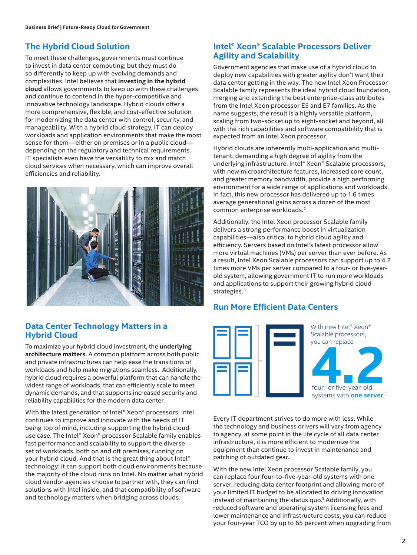#### **The Hybrid Cloud Solution**

To meet these challenges, governments must continue to invest in data center computing; but they must do so differently to keep up with evolving demands and complexities. Intel believes that **investing in the hybrid cloud** allows governments to keep up with these challenges and continue to contend in the hyper-competitive and innovative technology landscape. Hybrid clouds offer a more comprehensive, flexible, and cost-effective solution for modernizing the data center with control, security, and manageability. With a hybrid cloud strategy, IT can deploy workloads and application environments that make the most sense for them—either on premises or in a public cloud depending on the regulatory and technical requirements. IT specialists even have the versatility to mix and match cloud services when necessary, which can improve overall efficiencies and reliability.



#### **Data Center Technology Matters in a Hybrid Cloud**

To maximize your hybrid cloud investment, the **underlying architecture matters**. A common platform across both public and private infrastructures can help ease the transitions of workloads and help make migrations seamless. Additionally, hybrid cloud requires a powerful platform that can handle the widest range of workloads, that can efficiently scale to meet dynamic demands, and that supports increased security and reliability capabilities for the modern data center.

With the latest generation of Intel® Xeon® processors, Intel continues to improve and innovate with the needs of IT being top of mind, including supporting the hybrid cloud use case. The Intel® Xeon® processor Scalable family enables fast performance and scalability to support the diverse set of workloads, both on and off premises, running on your hybrid cloud. And that is the great thing about Intel® technology: it can support both cloud environments because the majority of the cloud runs on Intel. No matter what hybrid cloud vendor agencies choose to partner with, they can find solutions with Intel inside, and that compatibility of software and technology matters when bridging across clouds.

#### **Intel® Xeon® Scalable Processors Deliver Agility and Scalability**

Government agencies that make use of a hybrid cloud to deploy new capabilities with greater agility don't want their data center getting in the way. The new Intel Xeon Processor Scalable family represents the ideal hybrid cloud foundation, merging and extending the best enterprise-class attributes from the Intel Xeon processor E5 and E7 families. As the name suggests, the result is a highly versatile platform, scaling from two-socket up to eight-socket and beyond, all with the rich capabilities and software compatibility that is expected from an Intel Xeon processor.

Hybrid clouds are inherently multi-application and multitenant, demanding a high degree of agility from the underlying infrastructure. Intel® Xeon® Scalable processors, with new microarchitecture features, increased core count, and greater memory bandwidth, provide a high performing environment for a wide range of applications and workloads. In fact, this new processor has delivered up to 1.6 times average generational gains across a dozen of the most common enterprise workloads.2

Additionally, the Intel Xeon processor Scalable family delivers a strong performance boost in virtualization capabilities—also critical to hybrid cloud agility and efficiency. Servers based on Intel's latest processor allow more virtual machines (VMs) per server than ever before. As a result, Intel Xeon Scalable processors can support up to 4.2 times more VMs per server compared to a four- or five-yearold system, allowing government IT to run more workloads and applications to support their growing hybrid cloud strategies.<sup>3</sup>

#### **Run More Efficient Data Centers**



Every IT department strives to do more with less. While the technology and business drivers will vary from agency to agency, at some point in the life cycle of all data center infrastructure, it is more efficient to modernize the equipment than continue to invest in maintenance and patching of outdated gear.

With the new Intel Xeon processor Scalable family, you can replace four four-to-five-year-old systems with one server, reducing data center footprint and allowing more of your limited IT budget to be allocated to driving innovation instead of maintaining the status quo.3 Additionally, with reduced software and operating system licensing fees and lower maintenance and infrastructure costs, you can reduce your four-year TCO by up to 65 percent when upgrading from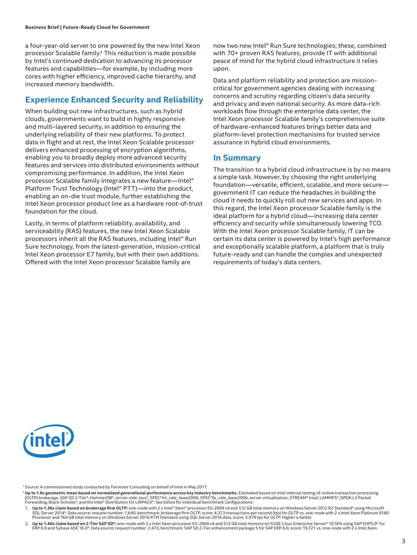a four-year-old server to one powered by the new Intel Xeon processor Scalable family.4 This reduction is made possible by Intel's continued dedication to advancing its processor features and capabilities—for example, by including more cores with higher efficiency, improved cache hierarchy, and increased memory bandwidth.

#### **Experience Enhanced Security and Reliability**

When building out new infrastructures, such as hybrid clouds, governments want to build in highly responsive and multi-layered security, in addition to ensuring the underlying reliability of their new platforms. To protect data in flight and at rest, the Intel Xeon Scalable processor delivers enhanced processing of encryption algorithms, enabling you to broadly deploy more advanced security features and services into distributed environments without compromising performance. In addition, the Intel Xeon processor Scalable family integrates a new feature—Intel® Platform Trust Technology (Intel® PTT)—into the product, enabling an on-die trust module, further establishing the Intel Xeon processor product line as a hardware root-of-trust foundation for the cloud.

Lastly, in terms of platform reliability, availability, and serviceability (RAS) features, the new Intel Xeon Scalable processors inherit all the RAS features, including Intel® Run Sure technology, from the latest-generation, mission-critical Intel Xeon processor E7 family, but with their own additions. Offered with the Intel Xeon processor Scalable family are

now two new Intel® Run Sure technologies; these, combined with 70+ proven RAS features, provide IT with additional peace of mind for the hybrid cloud infrastructure it relies upon.

Data and platform reliability and protection are missioncritical for government agencies dealing with increasing concerns and scrutiny regarding citizen's data security and privacy and even national security. As more data-rich workloads flow through the enterprise data center, the Intel Xeon processor Scalable family's comprehensive suite of hardware-enhanced features brings better data and platform-level protection mechanisms for trusted service assurance in hybrid cloud environments.

#### **In Summary**

The transition to a hybrid cloud infrastructure is by no means a simple task. However, by choosing the right underlying foundation—versatile, efficient, scalable, and more secure government IT can reduce the headaches in building the cloud it needs to quickly roll out new services and apps. In this regard, the Intel Xeon processor Scalable family is the ideal platform for a hybrid cloud—increasing data center efficiency and security while simultaneously lowering TCO. With the Intel Xeon processor Scalable family, IT can be certain its data center is powered by Intel's high performance and exceptionally scalable platform, a platform that is truly future-ready and can handle the complex and unexpected requirements of today's data centers.



1Source: A commissioned study conducted by Forrester Consulting on behalf of Intel in May 2017.

<sup>2</sup> Up to 1.6x geometric mean based on normalized generational performance across key industry benchmarks. Estimated based on Intel internal testing of: online transaction processing (OLTP) brokerage, SAP SD 2-Tier\*, HammerDB\*, server-side Java\*, SPEC\*int\_rate\_base2006, SPEC\*fp\_rate\_base2006, server virtualization, STREAM\* triad, LAMMPS\*, DPDK L3 Packet<br>Forwarding, Black-Scholes\*, and the Intel® Distri

1. Up to 1.36x claim based on brokerage firm OLTP: one-node with 2 x Intel® Xeon® processor E5-2699 v4 and 512 GB total memory on Windows Server 2012 R2 Standard\* using Microsoft SQL Server 2014\*. Data source: request number: 1,640, benchmark: brokerage firm OLTP, score: 4,373 transactions per second (tps) for OLTP vs. one-node with 2 x Intel Xeon Platinum 8180<br>Processor and 764 GB total memory on

2. **Up to 1.40x claim based on 2-Tier SAP SD\*:** one-node with 2 x Intel Xeon processor E5-2699 v4 and 512 GB total memory on SUSE Linux Enterprise Server\* 10 SP4 using SAP EHP5.0\* for ERP 6.0 and Sybase ASE 16.0\*. Data source: request number: 2,473, benchmark: SAP SD 2-Tier enhancement package 5 for SAP ERP 6.0, score: 19,721 vs. one-node with 2 x Intel Xeon